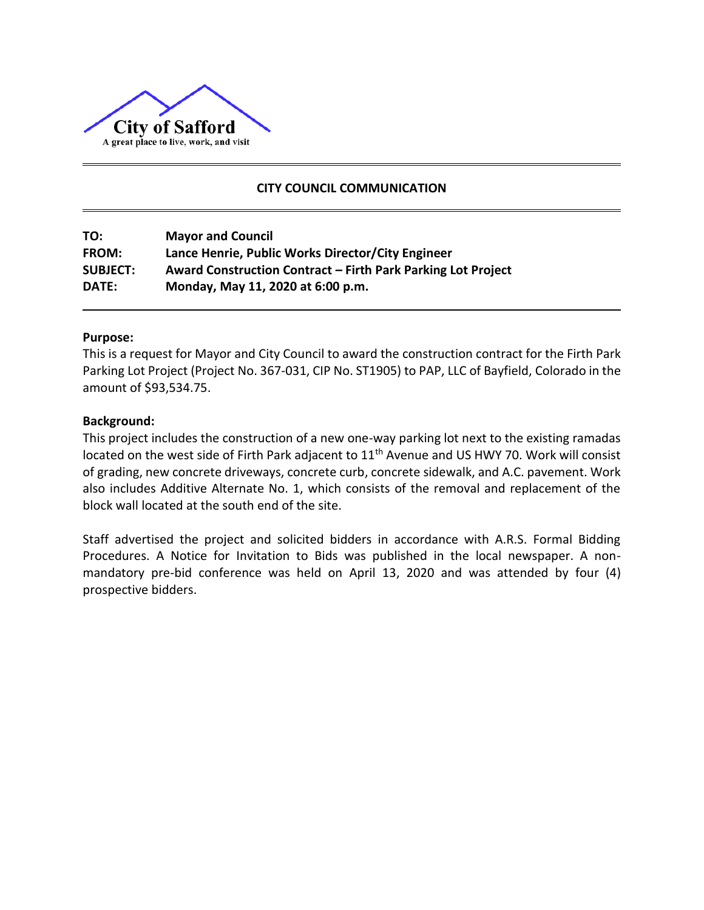

# **CITY COUNCIL COMMUNICATION**

| TO:             | <b>Mayor and Council</b>                                     |
|-----------------|--------------------------------------------------------------|
| <b>FROM:</b>    | Lance Henrie, Public Works Director/City Engineer            |
| <b>SUBJECT:</b> | Award Construction Contract – Firth Park Parking Lot Project |
| DATE:           | Monday, May 11, 2020 at 6:00 p.m.                            |

## **Purpose:**

This is a request for Mayor and City Council to award the construction contract for the Firth Park Parking Lot Project (Project No. 367-031, CIP No. ST1905) to PAP, LLC of Bayfield, Colorado in the amount of \$93,534.75.

## **Background:**

This project includes the construction of a new one-way parking lot next to the existing ramadas located on the west side of Firth Park adjacent to 11<sup>th</sup> Avenue and US HWY 70. Work will consist of grading, new concrete driveways, concrete curb, concrete sidewalk, and A.C. pavement. Work also includes Additive Alternate No. 1, which consists of the removal and replacement of the block wall located at the south end of the site.

Staff advertised the project and solicited bidders in accordance with A.R.S. Formal Bidding Procedures. A Notice for Invitation to Bids was published in the local newspaper. A nonmandatory pre-bid conference was held on April 13, 2020 and was attended by four (4) prospective bidders.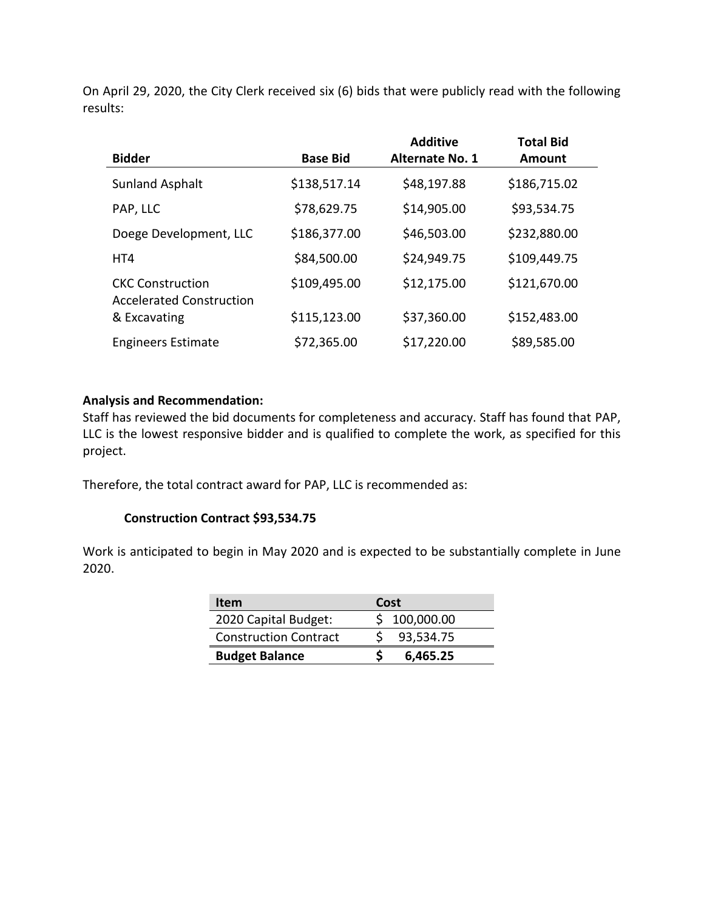On April 29, 2020, the City Clerk received six (6) bids that were publicly read with the following results:

|                                                            |                 | <b>Additive</b>        | <b>Total Bid</b> |
|------------------------------------------------------------|-----------------|------------------------|------------------|
| <b>Bidder</b>                                              | <b>Base Bid</b> | <b>Alternate No. 1</b> | <b>Amount</b>    |
| <b>Sunland Asphalt</b>                                     | \$138,517.14    | \$48,197.88            | \$186,715.02     |
| PAP, LLC                                                   | \$78,629.75     | \$14,905.00            | \$93,534.75      |
| Doege Development, LLC                                     | \$186,377.00    | \$46,503.00            | \$232,880.00     |
| HT4                                                        | \$84,500.00     | \$24,949.75            | \$109,449.75     |
| <b>CKC Construction</b><br><b>Accelerated Construction</b> | \$109,495.00    | \$12,175.00            | \$121,670.00     |
| & Excavating                                               | \$115,123.00    | \$37,360.00            | \$152,483.00     |
| <b>Engineers Estimate</b>                                  | \$72,365.00     | \$17,220.00            | \$89,585.00      |

## **Analysis and Recommendation:**

Staff has reviewed the bid documents for completeness and accuracy. Staff has found that PAP, LLC is the lowest responsive bidder and is qualified to complete the work, as specified for this project.

Therefore, the total contract award for PAP, LLC is recommended as:

## **Construction Contract \$93,534.75**

Work is anticipated to begin in May 2020 and is expected to be substantially complete in June 2020.

| Item                         | Cost         |
|------------------------------|--------------|
| 2020 Capital Budget:         | \$100,000.00 |
| <b>Construction Contract</b> | 93,534.75    |
| <b>Budget Balance</b>        | 6,465.25     |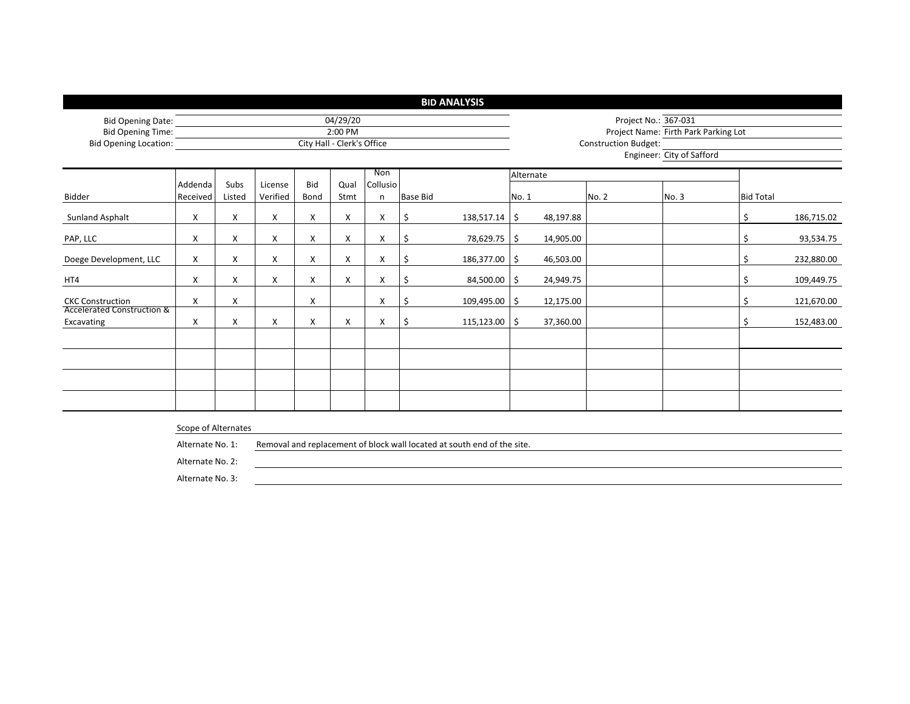|                                                      |                     |                            |                     |             |                                                                                        |   |     | <b>BID ANALYSIS</b> |                  |                                                              |                                                          |  |    |            |  |  |
|------------------------------------------------------|---------------------|----------------------------|---------------------|-------------|----------------------------------------------------------------------------------------|---|-----|---------------------|------------------|--------------------------------------------------------------|----------------------------------------------------------|--|----|------------|--|--|
| <b>Bid Opening Date:</b><br><b>Bid Opening Time:</b> |                     |                            |                     |             | 04/29/20<br>2:00 PM                                                                    |   |     |                     |                  | Project No.: 367-031<br>Project Name: Firth Park Parking Lot |                                                          |  |    |            |  |  |
| <b>Bid Opening Location:</b>                         |                     | City Hall - Clerk's Office |                     |             |                                                                                        |   |     |                     |                  |                                                              | <b>Construction Budget:</b><br>Engineer: City of Safford |  |    |            |  |  |
| Bidder                                               | Addenda<br>Received | Subs<br>Listed             | License<br>Verified | Bid<br>Bond | Non<br>Alternate<br>Collusio<br>Qual<br><b>Base Bid</b><br>Stmt<br>No. 2<br>No. 1<br>n |   |     | No. 3               | <b>Bid Total</b> |                                                              |                                                          |  |    |            |  |  |
| Sunland Asphalt                                      | X                   | X                          | X                   | X           | X                                                                                      | X | \$. | 138,517.14          | \$               | 48,197.88                                                    |                                                          |  | \$ | 186,715.02 |  |  |
| PAP, LLC                                             | X                   | X                          | X                   | X           | X                                                                                      | X | \$. | 78,629.75           | \$               | 14,905.00                                                    |                                                          |  | \$ | 93,534.75  |  |  |
| Doege Development, LLC                               | X                   | X                          | X                   | х           | X                                                                                      | X | \$  | 186,377.00          | Ŝ.               | 46,503.00                                                    |                                                          |  | Ś  | 232,880.00 |  |  |
| HT4                                                  | Χ                   | X                          | X                   | X           | X                                                                                      | X | \$. | 84,500.00           | \$               | 24,949.75                                                    |                                                          |  | \$ | 109,449.75 |  |  |
| <b>CKC Construction</b>                              | X                   | X                          |                     | X           |                                                                                        | X | \$  | 109,495.00          | \$               | 12,175.00                                                    |                                                          |  | \$ | 121,670.00 |  |  |
| <b>Accelerated Construction &amp;</b><br>Excavating  | X                   | X                          | X                   | X           | X                                                                                      | X | \$  | 115,123.00          | Ŝ.               | 37,360.00                                                    |                                                          |  | Ś  | 152,483.00 |  |  |
|                                                      |                     |                            |                     |             |                                                                                        |   |     |                     |                  |                                                              |                                                          |  |    |            |  |  |
|                                                      | Scono of Altornator |                            |                     |             |                                                                                        |   |     |                     |                  |                                                              |                                                          |  |    |            |  |  |

#### Scope of Alternates

Alternate No. 1: Removal and replacement of block wall located at south end of the site.

Alternate No. 2:

Alternate No. 3: